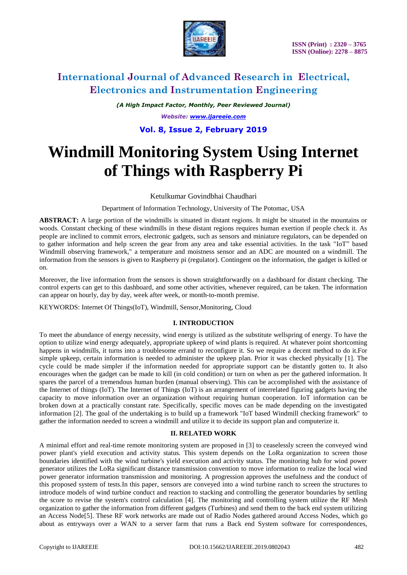

### **International Journal of Advanced Research in Electrical, Electronics and Instrumentation Engineering**

*(A High Impact Factor, Monthly, Peer Reviewed Journal) Website: [www.ijareeie.com](http://www.ijareeie.com/)* **Vol. 8, Issue 2, February 2019**

# **Windmill Monitoring System Using Internet of Things with Raspberry Pi**

Ketulkumar Govindbhai Chaudhari

Department of Information Technology, University of The Potomac, USA

**ABSTRACT:** A large portion of the windmills is situated in distant regions. It might be situated in the mountains or woods. Constant checking of these windmills in these distant regions requires human exertion if people check it. As people are inclined to commit errors, electronic gadgets, such as sensors and miniature regulators, can be depended on to gather information and help screen the gear from any area and take essential activities. In the task "IoT" based Windmill observing framework," a temperature and moistness sensor and an ADC are mounted on a windmill. The information from the sensors is given to Raspberry pi (regulator). Contingent on the information, the gadget is killed or on.

Moreover, the live information from the sensors is shown straightforwardly on a dashboard for distant checking. The control experts can get to this dashboard, and some other activities, whenever required, can be taken. The information can appear on hourly, day by day, week after week, or month-to-month premise.

KEYWORDS: Internet Of Things(IoT), Windmill, Sensor,Monitoring, Cloud

### **I. INTRODUCTION**

To meet the abundance of energy necessity, wind energy is utilized as the substitute wellspring of energy. To have the option to utilize wind energy adequately, appropriate upkeep of wind plants is required. At whatever point shortcoming happens in windmills, it turns into a troublesome errand to reconfigure it. So we require a decent method to do it.For simple upkeep, certain information is needed to administer the upkeep plan. Prior it was checked physically [1]. The cycle could be made simpler if the information needed for appropriate support can be distantly gotten to. It also encourages when the gadget can be made to kill (in cold condition) or turn on when as per the gathered information. It spares the parcel of a tremendous human burden (manual observing). This can be accomplished with the assistance of the Internet of things (IoT). The Internet of Things (IoT) is an arrangement of interrelated figuring gadgets having the capacity to move information over an organization without requiring human cooperation. IoT information can be broken down at a practically constant rate. Specifically, specific moves can be made depending on the investigated information [2]. The goal of the undertaking is to build up a framework "IoT based Windmill checking framework" to gather the information needed to screen a windmill and utilize it to decide its support plan and computerize it.

### **II. RELATED WORK**

A minimal effort and real-time remote monitoring system are proposed in [3] to ceaselessly screen the conveyed wind power plant's yield execution and activity status. This system depends on the LoRa organization to screen those boundaries identified with the wind turbine's yield execution and activity status. The monitoring hub for wind power generator utilizes the LoRa significant distance transmission convention to move information to realize the local wind power generator information transmission and monitoring. A progression approves the usefulness and the conduct of this proposed system of tests.In this paper, sensors are conveyed into a wind turbine ranch to screen the structures to introduce models of wind turbine conduct and reaction to stacking and controlling the generator boundaries by settling the score to revise the system's control calculation [4]. The monitoring and controlling system utilize the RF Mesh organization to gather the information from different gadgets (Turbines) and send them to the back end system utilizing an Access Node[5]. These RF work networks are made out of Radio Nodes gathered around Access Nodes, which go about as entryways over a WAN to a server farm that runs a Back end System software for correspondences,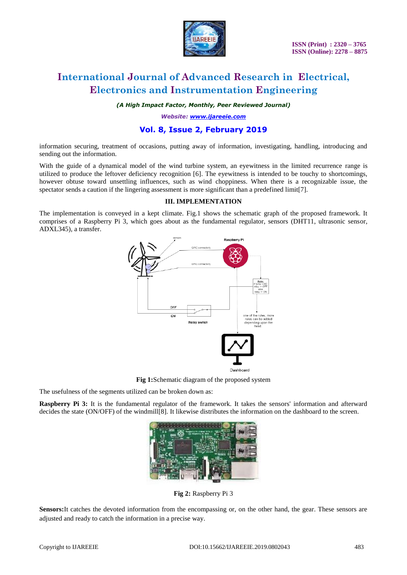

# **International Journal of Advanced Research in Electrical, Electronics and Instrumentation Engineering**

*(A High Impact Factor, Monthly, Peer Reviewed Journal)*

*Website: [www.ijareeie.com](http://www.ijareeie.com/)*

### **Vol. 8, Issue 2, February 2019**

information securing, treatment of occasions, putting away of information, investigating, handling, introducing and sending out the information.

With the guide of a dynamical model of the wind turbine system, an eyewitness in the limited recurrence range is utilized to produce the leftover deficiency recognition [6]. The eyewitness is intended to be touchy to shortcomings, however obtuse toward unsettling influences, such as wind choppiness. When there is a recognizable issue, the spectator sends a caution if the lingering assessment is more significant than a predefined limit[7].

#### **III. IMPLEMENTATION**

The implementation is conveyed in a kept climate. Fig.1 shows the schematic graph of the proposed framework. It comprises of a Raspberry Pi 3, which goes about as the fundamental regulator, sensors (DHT11, ultrasonic sensor, ADXL345), a transfer.



**Fig 1:**Schematic diagram of the proposed system

The usefulness of the segments utilized can be broken down as:

**Raspberry Pi 3:** It is the fundamental regulator of the framework. It takes the sensors' information and afterward decides the state (ON/OFF) of the windmill[8]. It likewise distributes the information on the dashboard to the screen.



**Fig 2:** Raspberry Pi 3

**Sensors:**It catches the devoted information from the encompassing or, on the other hand, the gear. These sensors are adjusted and ready to catch the information in a precise way.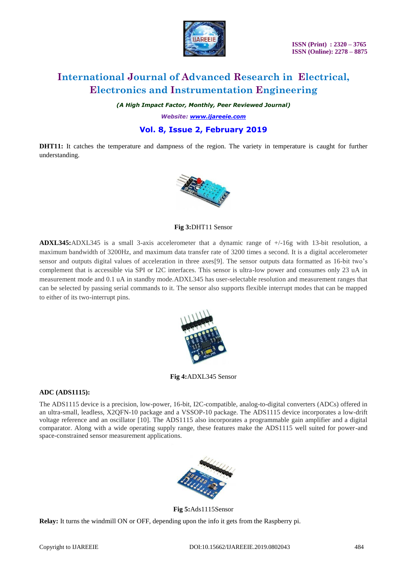

 **ISSN (Print) : 2320 – 3765 ISSN (Online): 2278 – 8875**

# **International Journal of Advanced Research in Electrical, Electronics and Instrumentation Engineering**

*(A High Impact Factor, Monthly, Peer Reviewed Journal)*

*Website: [www.ijareeie.com](http://www.ijareeie.com/)*

### **Vol. 8, Issue 2, February 2019**

**DHT11:** It catches the temperature and dampness of the region. The variety in temperature is caught for further understanding.



**Fig 3:**DHT11 Sensor

**ADXL345:**ADXL345 is a small 3-axis accelerometer that a dynamic range of +/-16g with 13-bit resolution, a maximum bandwidth of 3200Hz, and maximum data transfer rate of 3200 times a second. It is a digital accelerometer sensor and outputs digital values of acceleration in three axes[9]. The sensor outputs data formatted as 16-bit two's complement that is accessible via SPI or I2C interfaces. This sensor is ultra-low power and consumes only 23 uA in measurement mode and 0.1 uA in standby mode.ADXL345 has user-selectable resolution and measurement ranges that can be selected by passing serial commands to it. The sensor also supports flexible interrupt modes that can be mapped to either of its two-interrupt pins.



**Fig 4:**ADXL345 Sensor

### **ADC (ADS1115):**

The ADS1115 device is a precision, low-power, 16-bit, I2C-compatible, analog-to-digital converters (ADCs) offered in an ultra-small, leadless, X2QFN-10 package and a VSSOP-10 package. The ADS1115 device incorporates a low-drift voltage reference and an oscillator [10]. The ADS1115 also incorporates a programmable gain amplifier and a digital comparator. Along with a wide operating supply range, these features make the ADS1115 well suited for power-and space-constrained sensor measurement applications.



**Fig 5:**Ads1115Sensor

**Relay:** It turns the windmill ON or OFF, depending upon the info it gets from the Raspberry pi.